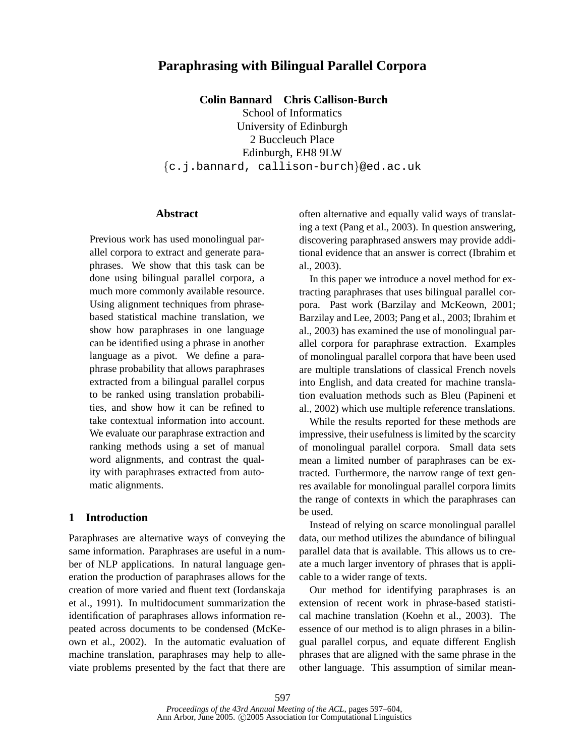# **Paraphrasing with Bilingual Parallel Corpora**

**Colin Bannard Chris Callison-Burch**

School of Informatics University of Edinburgh 2 Buccleuch Place Edinburgh, EH8 9LW {c.j.bannard, callison-burch}@ed.ac.uk

#### **Abstract**

Previous work has used monolingual parallel corpora to extract and generate paraphrases. We show that this task can be done using bilingual parallel corpora, a much more commonly available resource. Using alignment techniques from phrasebased statistical machine translation, we show how paraphrases in one language can be identified using a phrase in another language as a pivot. We define a paraphrase probability that allows paraphrases extracted from a bilingual parallel corpus to be ranked using translation probabilities, and show how it can be refined to take contextual information into account. We evaluate our paraphrase extraction and ranking methods using a set of manual word alignments, and contrast the quality with paraphrases extracted from automatic alignments.

## **1 Introduction**

Paraphrases are alternative ways of conveying the same information. Paraphrases are useful in a number of NLP applications. In natural language generation the production of paraphrases allows for the creation of more varied and fluent text (Iordanskaja et al., 1991). In multidocument summarization the identification of paraphrases allows information repeated across documents to be condensed (McKeown et al., 2002). In the automatic evaluation of machine translation, paraphrases may help to alleviate problems presented by the fact that there are often alternative and equally valid ways of translating a text (Pang et al., 2003). In question answering, discovering paraphrased answers may provide additional evidence that an answer is correct (Ibrahim et al., 2003).

In this paper we introduce a novel method for extracting paraphrases that uses bilingual parallel corpora. Past work (Barzilay and McKeown, 2001; Barzilay and Lee, 2003; Pang et al., 2003; Ibrahim et al., 2003) has examined the use of monolingual parallel corpora for paraphrase extraction. Examples of monolingual parallel corpora that have been used are multiple translations of classical French novels into English, and data created for machine translation evaluation methods such as Bleu (Papineni et al., 2002) which use multiple reference translations.

While the results reported for these methods are impressive, their usefulness is limited by the scarcity of monolingual parallel corpora. Small data sets mean a limited number of paraphrases can be extracted. Furthermore, the narrow range of text genres available for monolingual parallel corpora limits the range of contexts in which the paraphrases can be used.

Instead of relying on scarce monolingual parallel data, our method utilizes the abundance of bilingual parallel data that is available. This allows us to create a much larger inventory of phrases that is applicable to a wider range of texts.

Our method for identifying paraphrases is an extension of recent work in phrase-based statistical machine translation (Koehn et al., 2003). The essence of our method is to align phrases in a bilingual parallel corpus, and equate different English phrases that are aligned with the same phrase in the other language. This assumption of similar mean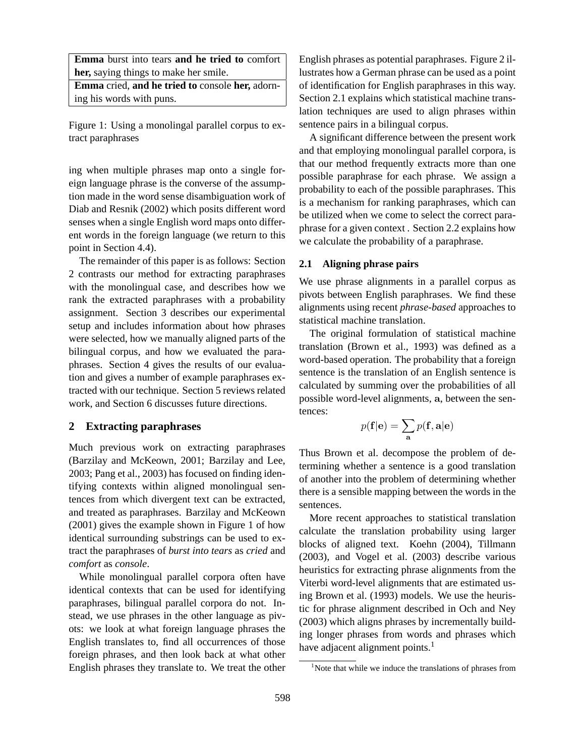**Emma** burst into tears **and he tried to** comfort **her,** saying things to make her smile.

**Emma** cried, **and he tried to** console **her,** adorning his words with puns.

Figure 1: Using a monolingal parallel corpus to extract paraphrases

ing when multiple phrases map onto a single foreign language phrase is the converse of the assumption made in the word sense disambiguation work of Diab and Resnik (2002) which posits different word senses when a single English word maps onto different words in the foreign language (we return to this point in Section 4.4).

The remainder of this paper is as follows: Section 2 contrasts our method for extracting paraphrases with the monolingual case, and describes how we rank the extracted paraphrases with a probability assignment. Section 3 describes our experimental setup and includes information about how phrases were selected, how we manually aligned parts of the bilingual corpus, and how we evaluated the paraphrases. Section 4 gives the results of our evaluation and gives a number of example paraphrases extracted with our technique. Section 5 reviews related work, and Section 6 discusses future directions.

## **2 Extracting paraphrases**

Much previous work on extracting paraphrases (Barzilay and McKeown, 2001; Barzilay and Lee, 2003; Pang et al., 2003) has focused on finding identifying contexts within aligned monolingual sentences from which divergent text can be extracted, and treated as paraphrases. Barzilay and McKeown (2001) gives the example shown in Figure 1 of how identical surrounding substrings can be used to extract the paraphrases of *burst into tears* as *cried* and *comfort* as *console*.

While monolingual parallel corpora often have identical contexts that can be used for identifying paraphrases, bilingual parallel corpora do not. Instead, we use phrases in the other language as pivots: we look at what foreign language phrases the English translates to, find all occurrences of those foreign phrases, and then look back at what other English phrases they translate to. We treat the other

English phrases as potential paraphrases. Figure 2 illustrates how a German phrase can be used as a point of identification for English paraphrases in this way. Section 2.1 explains which statistical machine translation techniques are used to align phrases within sentence pairs in a bilingual corpus.

A significant difference between the present work and that employing monolingual parallel corpora, is that our method frequently extracts more than one possible paraphrase for each phrase. We assign a probability to each of the possible paraphrases. This is a mechanism for ranking paraphrases, which can be utilized when we come to select the correct paraphrase for a given context . Section 2.2 explains how we calculate the probability of a paraphrase.

### **2.1 Aligning phrase pairs**

We use phrase alignments in a parallel corpus as pivots between English paraphrases. We find these alignments using recent *phrase-based* approaches to statistical machine translation.

The original formulation of statistical machine translation (Brown et al., 1993) was defined as a word-based operation. The probability that a foreign sentence is the translation of an English sentence is calculated by summing over the probabilities of all possible word-level alignments, a, between the sentences:

$$
p(\mathbf{f}|\mathbf{e}) = \sum_{\mathbf{a}} p(\mathbf{f}, \mathbf{a}|\mathbf{e})
$$

Thus Brown et al. decompose the problem of determining whether a sentence is a good translation of another into the problem of determining whether there is a sensible mapping between the words in the sentences.

More recent approaches to statistical translation calculate the translation probability using larger blocks of aligned text. Koehn (2004), Tillmann (2003), and Vogel et al. (2003) describe various heuristics for extracting phrase alignments from the Viterbi word-level alignments that are estimated using Brown et al. (1993) models. We use the heuristic for phrase alignment described in Och and Ney (2003) which aligns phrases by incrementally building longer phrases from words and phrases which have adjacent alignment points.<sup>1</sup>

 $1$ Note that while we induce the translations of phrases from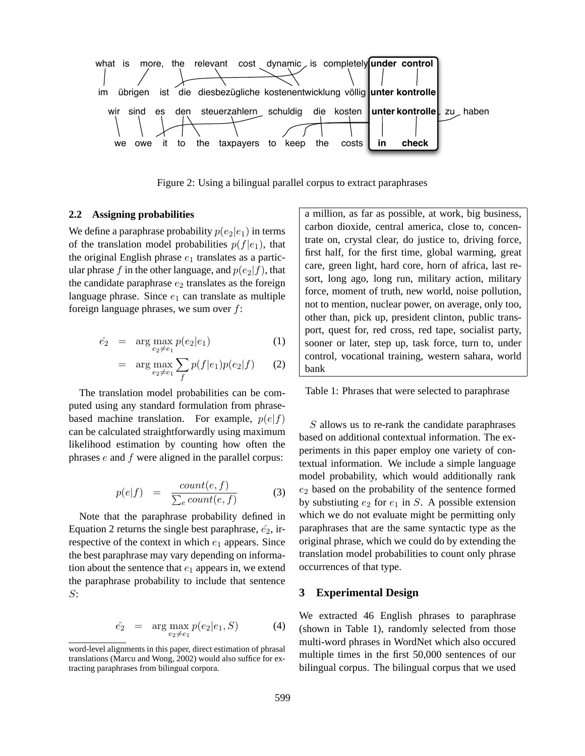

Figure 2: Using a bilingual parallel corpus to extract paraphrases

### **2.2 Assigning probabilities**

We define a paraphrase probability  $p(e_2|e_1)$  in terms of the translation model probabilities  $p(f|e_1)$ , that the original English phrase  $e_1$  translates as a particular phrase f in the other language, and  $p(e_2|f)$ , that the candidate paraphrase  $e_2$  translates as the foreign language phrase. Since  $e_1$  can translate as multiple foreign language phrases, we sum over f:

$$
\hat{e_2} = \arg \max_{e_2 \neq e_1} p(e_2|e_1) \tag{1}
$$

$$
= \arg \max_{e_2 \neq e_1} \sum_f p(f|e_1)p(e_2|f) \qquad (2)
$$

The translation model probabilities can be computed using any standard formulation from phrasebased machine translation. For example,  $p(e|f)$ can be calculated straightforwardly using maximum likelihood estimation by counting how often the phrases e and f were aligned in the parallel corpus:

$$
p(e|f) = \frac{count(e, f)}{\sum_{e} count(e, f)}
$$
(3)

Note that the paraphrase probability defined in Equation 2 returns the single best paraphrase,  $\hat{e}_2$ , irrespective of the context in which  $e_1$  appears. Since the best paraphrase may vary depending on information about the sentence that  $e_1$  appears in, we extend the paraphrase probability to include that sentence S:

$$
\hat{e_2} = \arg \max_{e_2 \neq e_1} p(e_2|e_1, S) \tag{4}
$$

a million, as far as possible, at work, big business, carbon dioxide, central america, close to, concentrate on, crystal clear, do justice to, driving force, first half, for the first time, global warming, great care, green light, hard core, horn of africa, last resort, long ago, long run, military action, military force, moment of truth, new world, noise pollution, not to mention, nuclear power, on average, only too, other than, pick up, president clinton, public transport, quest for, red cross, red tape, socialist party, sooner or later, step up, task force, turn to, under control, vocational training, western sahara, world bank

Table 1: Phrases that were selected to paraphrase

S allows us to re-rank the candidate paraphrases based on additional contextual information. The experiments in this paper employ one variety of contextual information. We include a simple language model probability, which would additionally rank  $e_2$  based on the probability of the sentence formed by substiuting  $e_2$  for  $e_1$  in S. A possible extension which we do not evaluate might be permitting only paraphrases that are the same syntactic type as the original phrase, which we could do by extending the translation model probabilities to count only phrase occurrences of that type.

## **3 Experimental Design**

We extracted 46 English phrases to paraphrase (shown in Table 1), randomly selected from those multi-word phrases in WordNet which also occured multiple times in the first 50,000 sentences of our bilingual corpus. The bilingual corpus that we used

word-level alignments in this paper, direct estimation of phrasal translations (Marcu and Wong, 2002) would also suffice for extracting paraphrases from bilingual corpora.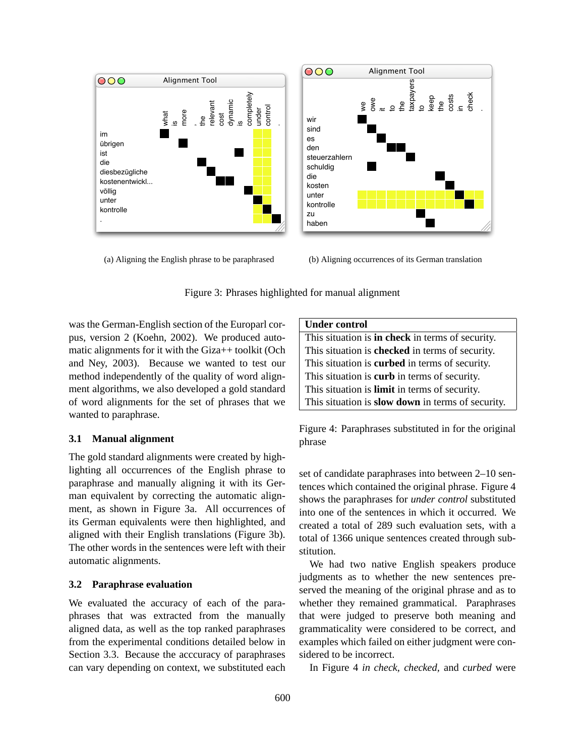

(a) Aligning the English phrase to be paraphrased

(b) Aligning occurrences of its German translation

Figure 3: Phrases highlighted for manual alignment

was the German-English section of the Europarl corpus, version 2 (Koehn, 2002). We produced automatic alignments for it with the Giza++ toolkit (Och and Ney, 2003). Because we wanted to test our method independently of the quality of word alignment algorithms, we also developed a gold standard of word alignments for the set of phrases that we wanted to paraphrase.

### **3.1 Manual alignment**

The gold standard alignments were created by highlighting all occurrences of the English phrase to paraphrase and manually aligning it with its German equivalent by correcting the automatic alignment, as shown in Figure 3a. All occurrences of its German equivalents were then highlighted, and aligned with their English translations (Figure 3b). The other words in the sentences were left with their automatic alignments.

#### **3.2 Paraphrase evaluation**

We evaluated the accuracy of each of the paraphrases that was extracted from the manually aligned data, as well as the top ranked paraphrases from the experimental conditions detailed below in Section 3.3. Because the acccuracy of paraphrases can vary depending on context, we substituted each

| <b>Under control</b>                                  |
|-------------------------------------------------------|
| This situation is in check in terms of security.      |
| This situation is checked in terms of security.       |
| This situation is <b>curbed</b> in terms of security. |
| This situation is <b>curb</b> in terms of security.   |
| This situation is <b>limit</b> in terms of security.  |
| This situation is slow down in terms of security.     |

Figure 4: Paraphrases substituted in for the original phrase

set of candidate paraphrases into between 2–10 sentences which contained the original phrase. Figure 4 shows the paraphrases for *under control* substituted into one of the sentences in which it occurred. We created a total of 289 such evaluation sets, with a total of 1366 unique sentences created through substitution.

We had two native English speakers produce judgments as to whether the new sentences preserved the meaning of the original phrase and as to whether they remained grammatical. Paraphrases that were judged to preserve both meaning and grammaticality were considered to be correct, and examples which failed on either judgment were considered to be incorrect.

In Figure 4 *in check, checked,* and *curbed* were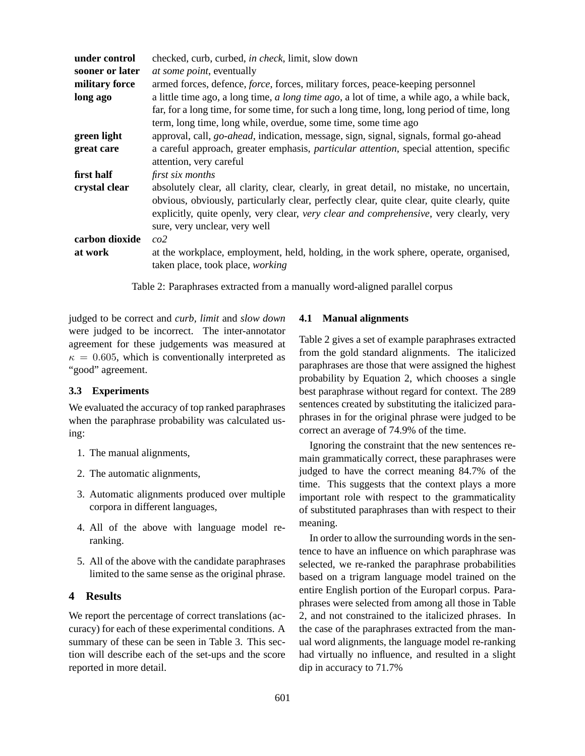| sooner or later<br><i>at some point, eventually</i><br>military force<br>armed forces, defence, <i>force</i> , forces, military forces, peace-keeping personnel |  |
|-----------------------------------------------------------------------------------------------------------------------------------------------------------------|--|
|                                                                                                                                                                 |  |
|                                                                                                                                                                 |  |
| a little time ago, a long time, a long time ago, a lot of time, a while ago, a while back,<br>long ago                                                          |  |
| far, for a long time, for some time, for such a long time, long, long period of time, long                                                                      |  |
| term, long time, long while, overdue, some time, some time ago                                                                                                  |  |
| approval, call, <i>go-ahead</i> , indication, message, sign, signal, signals, formal go-ahead<br>green light                                                    |  |
| a careful approach, greater emphasis, <i>particular attention</i> , special attention, specific<br>great care                                                   |  |
| attention, very careful                                                                                                                                         |  |
| first half<br>first six months                                                                                                                                  |  |
| crystal clear<br>absolutely clear, all clarity, clear, clearly, in great detail, no mistake, no uncertain,                                                      |  |
| obvious, obviously, particularly clear, perfectly clear, quite clear, quite clearly, quite                                                                      |  |
| explicitly, quite openly, very clear, very clear and comprehensive, very clearly, very                                                                          |  |
| sure, very unclear, very well                                                                                                                                   |  |
| carbon dioxide<br>co2                                                                                                                                           |  |
| at the workplace, employment, held, holding, in the work sphere, operate, organised,<br>at work                                                                 |  |
| taken place, took place, working                                                                                                                                |  |

Table 2: Paraphrases extracted from a manually word-aligned parallel corpus

judged to be correct and *curb, limit* and *slow down* were judged to be incorrect. The inter-annotator agreement for these judgements was measured at  $\kappa = 0.605$ , which is conventionally interpreted as "good" agreement.

### **3.3 Experiments**

We evaluated the accuracy of top ranked paraphrases when the paraphrase probability was calculated using:

- 1. The manual alignments,
- 2. The automatic alignments,
- 3. Automatic alignments produced over multiple corpora in different languages,
- 4. All of the above with language model reranking.
- 5. All of the above with the candidate paraphrases limited to the same sense as the original phrase.

### **4 Results**

We report the percentage of correct translations (accuracy) for each of these experimental conditions. A summary of these can be seen in Table 3. This section will describe each of the set-ups and the score reported in more detail.

#### **4.1 Manual alignments**

Table 2 gives a set of example paraphrases extracted from the gold standard alignments. The italicized paraphrases are those that were assigned the highest probability by Equation 2, which chooses a single best paraphrase without regard for context. The 289 sentences created by substituting the italicized paraphrases in for the original phrase were judged to be correct an average of 74.9% of the time.

Ignoring the constraint that the new sentences remain grammatically correct, these paraphrases were judged to have the correct meaning 84.7% of the time. This suggests that the context plays a more important role with respect to the grammaticality of substituted paraphrases than with respect to their meaning.

In order to allow the surrounding words in the sentence to have an influence on which paraphrase was selected, we re-ranked the paraphrase probabilities based on a trigram language model trained on the entire English portion of the Europarl corpus. Paraphrases were selected from among all those in Table 2, and not constrained to the italicized phrases. In the case of the paraphrases extracted from the manual word alignments, the language model re-ranking had virtually no influence, and resulted in a slight dip in accuracy to 71.7%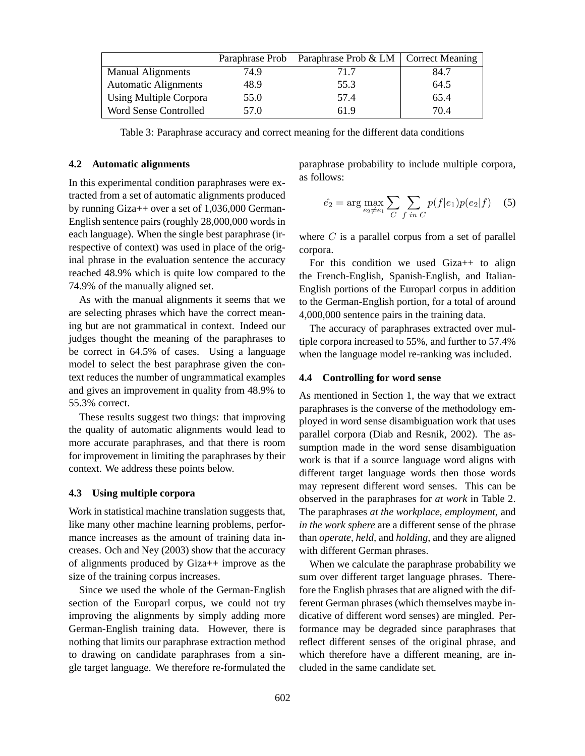|                             | Paraphrase Prob | Paraphrase Prob & LM   Correct Meaning |      |
|-----------------------------|-----------------|----------------------------------------|------|
| <b>Manual Alignments</b>    | 74.9            | 71.7                                   | 84.7 |
| <b>Automatic Alignments</b> | 48.9            | 55.3                                   | 64.5 |
| Using Multiple Corpora      | 55.0            | 57.4                                   | 65.4 |
| Word Sense Controlled       | 57.0            | 61.9                                   | 70.4 |

Table 3: Paraphrase accuracy and correct meaning for the different data conditions

#### **4.2 Automatic alignments**

In this experimental condition paraphrases were extracted from a set of automatic alignments produced by running Giza++ over a set of 1,036,000 German-English sentence pairs (roughly 28,000,000 words in each language). When the single best paraphrase (irrespective of context) was used in place of the original phrase in the evaluation sentence the accuracy reached 48.9% which is quite low compared to the 74.9% of the manually aligned set.

As with the manual alignments it seems that we are selecting phrases which have the correct meaning but are not grammatical in context. Indeed our judges thought the meaning of the paraphrases to be correct in 64.5% of cases. Using a language model to select the best paraphrase given the context reduces the number of ungrammatical examples and gives an improvement in quality from 48.9% to 55.3% correct.

These results suggest two things: that improving the quality of automatic alignments would lead to more accurate paraphrases, and that there is room for improvement in limiting the paraphrases by their context. We address these points below.

### **4.3 Using multiple corpora**

Work in statistical machine translation suggests that, like many other machine learning problems, performance increases as the amount of training data increases. Och and Ney (2003) show that the accuracy of alignments produced by Giza++ improve as the size of the training corpus increases.

Since we used the whole of the German-English section of the Europarl corpus, we could not try improving the alignments by simply adding more German-English training data. However, there is nothing that limits our paraphrase extraction method to drawing on candidate paraphrases from a single target language. We therefore re-formulated the

paraphrase probability to include multiple corpora, as follows:

$$
\hat{e_2} = \arg \max_{e_2 \neq e_1} \sum_C \sum_{f \text{ in } C} p(f|e_1) p(e_2|f) \quad (5)
$$

where  $C$  is a parallel corpus from a set of parallel corpora.

For this condition we used Giza++ to align the French-English, Spanish-English, and Italian-English portions of the Europarl corpus in addition to the German-English portion, for a total of around 4,000,000 sentence pairs in the training data.

The accuracy of paraphrases extracted over multiple corpora increased to 55%, and further to 57.4% when the language model re-ranking was included.

#### **4.4 Controlling for word sense**

As mentioned in Section 1, the way that we extract paraphrases is the converse of the methodology employed in word sense disambiguation work that uses parallel corpora (Diab and Resnik, 2002). The assumption made in the word sense disambiguation work is that if a source language word aligns with different target language words then those words may represent different word senses. This can be observed in the paraphrases for *at work* in Table 2. The paraphrases *at the workplace, employment,* and *in the work sphere* are a different sense of the phrase than *operate, held,* and *holding*, and they are aligned with different German phrases.

When we calculate the paraphrase probability we sum over different target language phrases. Therefore the English phrases that are aligned with the different German phrases (which themselves maybe indicative of different word senses) are mingled. Performance may be degraded since paraphrases that reflect different senses of the original phrase, and which therefore have a different meaning, are included in the same candidate set.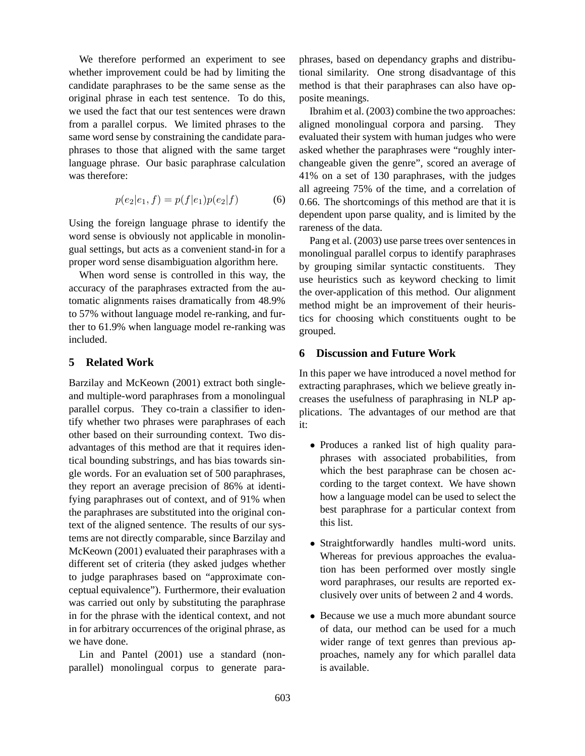We therefore performed an experiment to see whether improvement could be had by limiting the candidate paraphrases to be the same sense as the original phrase in each test sentence. To do this, we used the fact that our test sentences were drawn from a parallel corpus. We limited phrases to the same word sense by constraining the candidate paraphrases to those that aligned with the same target language phrase. Our basic paraphrase calculation was therefore:

$$
p(e_2|e_1, f) = p(f|e_1)p(e_2|f)
$$
 (6)

Using the foreign language phrase to identify the word sense is obviously not applicable in monolingual settings, but acts as a convenient stand-in for a proper word sense disambiguation algorithm here.

When word sense is controlled in this way, the accuracy of the paraphrases extracted from the automatic alignments raises dramatically from 48.9% to 57% without language model re-ranking, and further to 61.9% when language model re-ranking was included.

### **5 Related Work**

Barzilay and McKeown (2001) extract both singleand multiple-word paraphrases from a monolingual parallel corpus. They co-train a classifier to identify whether two phrases were paraphrases of each other based on their surrounding context. Two disadvantages of this method are that it requires identical bounding substrings, and has bias towards single words. For an evaluation set of 500 paraphrases, they report an average precision of 86% at identifying paraphrases out of context, and of 91% when the paraphrases are substituted into the original context of the aligned sentence. The results of our systems are not directly comparable, since Barzilay and McKeown (2001) evaluated their paraphrases with a different set of criteria (they asked judges whether to judge paraphrases based on "approximate conceptual equivalence"). Furthermore, their evaluation was carried out only by substituting the paraphrase in for the phrase with the identical context, and not in for arbitrary occurrences of the original phrase, as we have done.

Lin and Pantel (2001) use a standard (nonparallel) monolingual corpus to generate paraphrases, based on dependancy graphs and distributional similarity. One strong disadvantage of this method is that their paraphrases can also have opposite meanings.

Ibrahim et al. (2003) combine the two approaches: aligned monolingual corpora and parsing. They evaluated their system with human judges who were asked whether the paraphrases were "roughly interchangeable given the genre", scored an average of 41% on a set of 130 paraphrases, with the judges all agreeing 75% of the time, and a correlation of 0.66. The shortcomings of this method are that it is dependent upon parse quality, and is limited by the rareness of the data.

Pang et al. (2003) use parse trees over sentences in monolingual parallel corpus to identify paraphrases by grouping similar syntactic constituents. They use heuristics such as keyword checking to limit the over-application of this method. Our alignment method might be an improvement of their heuristics for choosing which constituents ought to be grouped.

## **6 Discussion and Future Work**

In this paper we have introduced a novel method for extracting paraphrases, which we believe greatly increases the usefulness of paraphrasing in NLP applications. The advantages of our method are that it:

- Produces a ranked list of high quality paraphrases with associated probabilities, from which the best paraphrase can be chosen according to the target context. We have shown how a language model can be used to select the best paraphrase for a particular context from this list.
- Straightforwardly handles multi-word units. Whereas for previous approaches the evaluation has been performed over mostly single word paraphrases, our results are reported exclusively over units of between 2 and 4 words.
- Because we use a much more abundant source of data, our method can be used for a much wider range of text genres than previous approaches, namely any for which parallel data is available.